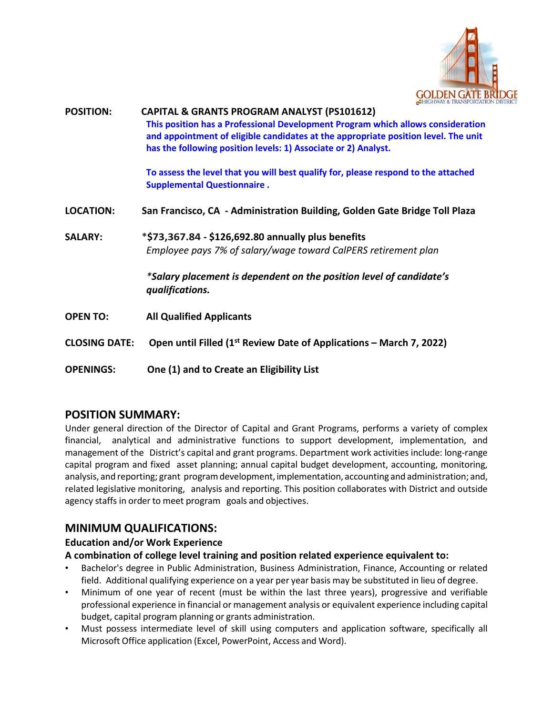

|                      | <b>EXECUTIVAL &amp; IRAINSFURTALIN</b>                                                                                                                                                                                                  |
|----------------------|-----------------------------------------------------------------------------------------------------------------------------------------------------------------------------------------------------------------------------------------|
| <b>POSITION:</b>     | <b>CAPITAL &amp; GRANTS PROGRAM ANALYST (PS101612)</b>                                                                                                                                                                                  |
|                      | This position has a Professional Development Program which allows consideration<br>and appointment of eligible candidates at the appropriate position level. The unit<br>has the following position levels: 1) Associate or 2) Analyst. |
|                      | To assess the level that you will best qualify for, please respond to the attached<br><b>Supplemental Questionnaire.</b>                                                                                                                |
| <b>LOCATION:</b>     | San Francisco, CA - Administration Building, Golden Gate Bridge Toll Plaza                                                                                                                                                              |
| <b>SALARY:</b>       | *\$73,367.84 - \$126,692.80 annually plus benefits                                                                                                                                                                                      |
|                      | Employee pays 7% of salary/wage toward CalPERS retirement plan                                                                                                                                                                          |
|                      | *Salary placement is dependent on the position level of candidate's<br>qualifications.                                                                                                                                                  |
| <b>OPEN TO:</b>      | <b>All Qualified Applicants</b>                                                                                                                                                                                                         |
| <b>CLOSING DATE:</b> | Open until Filled (1 <sup>st</sup> Review Date of Applications – March 7, 2022)                                                                                                                                                         |
| <b>OPENINGS:</b>     | One (1) and to Create an Eligibility List                                                                                                                                                                                               |

## **POSITION SUMMARY:**

Under general direction of the Director of Capital and Grant Programs, performs a variety of complex financial, analytical and administrative functions to support development, implementation, and management of the District's capital and grant programs. Department work activities include: long-range capital program and fixed asset planning; annual capital budget development, accounting, monitoring, analysis, and reporting; grant programdevelopment, implementation, accounting and administration; and, related legislative monitoring, analysis and reporting. This position collaborates with District and outside agency staffs in order to meet program goals and objectives.

## **MINIMUM QUALIFICATIONS:**

#### **Education and/or Work Experience**

#### **A combination of college level training and position related experience equivalent to:**

- Bachelor's degree in Public Administration, Business Administration, Finance, Accounting or related field. Additional qualifying experience on a year per year basis may be substituted in lieu of degree.
- Minimum of one year of recent (must be within the last three years), progressive and verifiable professional experience in financial or management analysis or equivalent experience including capital budget, capital program planning or grants administration.
- Must possess intermediate level of skill using computers and application software, specifically all Microsoft Office application (Excel, PowerPoint, Access and Word).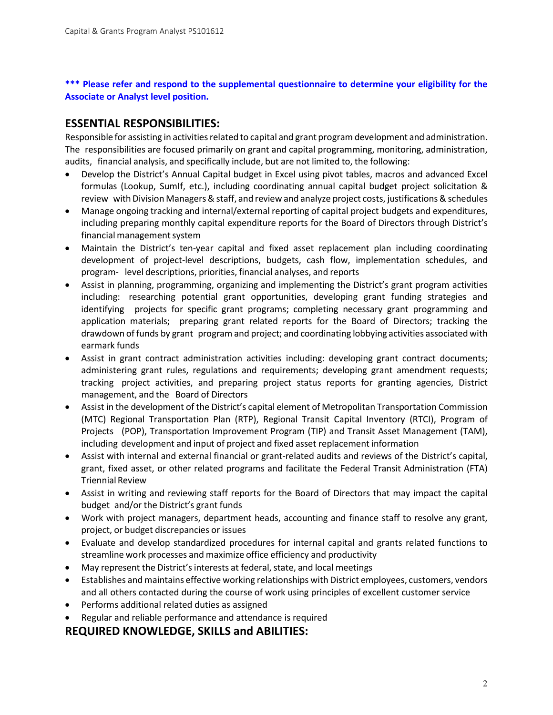**\*\*\* Please refer and respond to the supplemental questionnaire to determine your eligibility for the Associate or Analyst level position.**

## **ESSENTIAL RESPONSIBILITIES:**

Responsible for assisting in activities related to capital and grant program development and administration. The responsibilities are focused primarily on grant and capital programming, monitoring, administration, audits, financial analysis, and specifically include, but are not limited to, the following:

- Develop the District's Annual Capital budget in Excel using pivot tables, macros and advanced Excel formulas (Lookup, SumIf, etc.), including coordinating annual capital budget project solicitation & review with Division Managers & staff, and review and analyze project costs, justifications & schedules
- Manage ongoing tracking and internal/external reporting of capital project budgets and expenditures, including preparing monthly capital expenditure reports for the Board of Directors through District's financial management system
- Maintain the District's ten-year capital and fixed asset replacement plan including coordinating development of project-level descriptions, budgets, cash flow, implementation schedules, and program‐ level descriptions, priorities, financial analyses, and reports
- Assist in planning, programming, organizing and implementing the District's grant program activities including: researching potential grant opportunities, developing grant funding strategies and identifying projects for specific grant programs; completing necessary grant programming and application materials; preparing grant related reports for the Board of Directors; tracking the drawdown of funds by grant program and project; and coordinating lobbying activities associated with earmark funds
- Assist in grant contract administration activities including: developing grant contract documents; administering grant rules, regulations and requirements; developing grant amendment requests; tracking project activities, and preparing project status reports for granting agencies, District management, and the Board of Directors
- Assist in the development of the District's capital element of Metropolitan Transportation Commission (MTC) Regional Transportation Plan (RTP), Regional Transit Capital Inventory (RTCI), Program of Projects (POP), Transportation Improvement Program (TIP) and Transit Asset Management (TAM), including development and input of project and fixed asset replacement information
- Assist with internal and external financial or grant‐related audits and reviews of the District's capital, grant, fixed asset, or other related programs and facilitate the Federal Transit Administration (FTA) Triennial Review
- Assist in writing and reviewing staff reports for the Board of Directors that may impact the capital budget and/or the District's grant funds
- Work with project managers, department heads, accounting and finance staff to resolve any grant, project, or budget discrepancies or issues
- Evaluate and develop standardized procedures for internal capital and grants related functions to streamline work processes and maximize office efficiency and productivity
- May represent the District's interests at federal, state, and local meetings
- Establishes and maintains effective working relationships with District employees, customers, vendors and all others contacted during the course of work using principles of excellent customer service
- Performs additional related duties as assigned
- Regular and reliable performance and attendance is required

## **REQUIRED KNOWLEDGE, SKILLS and ABILITIES:**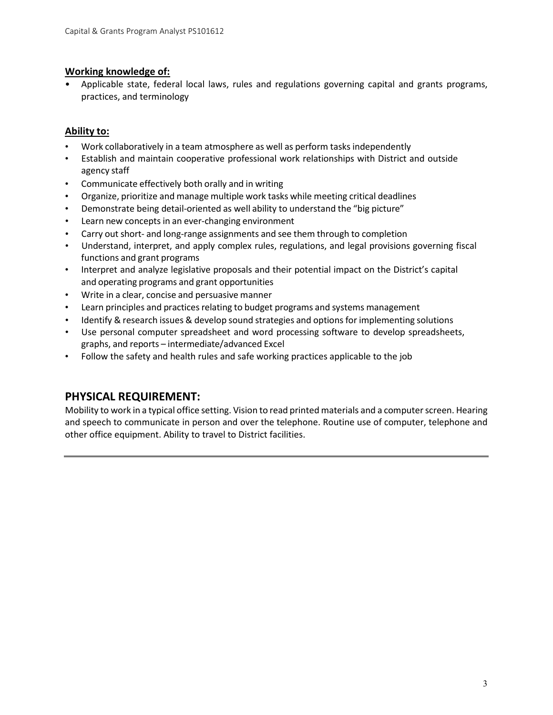#### **Working knowledge of:**

• Applicable state, federal local laws, rules and regulations governing capital and grants programs, practices, and terminology

#### **Ability to:**

- Work collaboratively in a team atmosphere as well as perform tasks independently
- Establish and maintain cooperative professional work relationships with District and outside agency staff
- Communicate effectively both orally and in writing
- Organize, prioritize and manage multiple work tasks while meeting critical deadlines
- Demonstrate being detail‐oriented as well ability to understand the "big picture"
- Learn new concepts in an ever-changing environment
- Carry out short‐ and long‐range assignments and see them through to completion
- Understand, interpret, and apply complex rules, regulations, and legal provisions governing fiscal functions and grant programs
- Interpret and analyze legislative proposals and their potential impact on the District's capital and operating programs and grant opportunities
- Write in a clear, concise and persuasive manner
- Learn principles and practices relating to budget programs and systems management
- Identify & research issues & develop sound strategies and options for implementing solutions
- Use personal computer spreadsheet and word processing software to develop spreadsheets, graphs, and reports – intermediate/advanced Excel
- Follow the safety and health rules and safe working practices applicable to the job

## **PHYSICAL REQUIREMENT:**

Mobility to work in a typical office setting. Vision to read printed materials and a computer screen. Hearing and speech to communicate in person and over the telephone. Routine use of computer, telephone and other office equipment. Ability to travel to District facilities.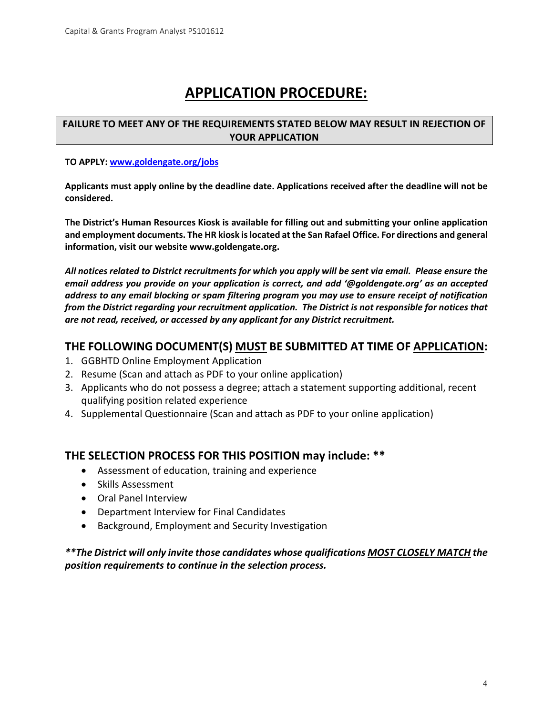# **APPLICATION PROCEDURE:**

#### **FAILURE TO MEET ANY OF THE REQUIREMENTS STATED BELOW MAY RESULT IN REJECTION OF YOUR APPLICATION**

#### **TO APPLY[: www.goldengate.org/jobs](http://www.goldengate.org/jobs)**

**Applicants must apply online by the deadline date. Applications received after the deadline will not be considered.** 

**The District's Human Resources Kiosk is available for filling out and submitting your online application and employment documents. The HR kiosk is located at the San Rafael Office. For directions and general information, visit our website www.goldengate.org.** 

*All notices related to District recruitments for which you apply will be sent via email. Please ensure the email address you provide on your application is correct, and add '@goldengate.org' as an accepted address to any email blocking or spam filtering program you may use to ensure receipt of notification from the District regarding your recruitment application. The District is not responsible for notices that are not read, received, or accessed by any applicant for any District recruitment.*

#### **THE FOLLOWING DOCUMENT(S) MUST BE SUBMITTED AT TIME OF APPLICATION:**

- 1. GGBHTD Online Employment Application
- 2. Resume (Scan and attach as PDF to your online application)
- 3. Applicants who do not possess a degree; attach a statement supporting additional, recent qualifying position related experience
- 4. Supplemental Questionnaire (Scan and attach as PDF to your online application)

## **THE SELECTION PROCESS FOR THIS POSITION may include: \*\***

- Assessment of education, training and experience
- Skills Assessment
- Oral Panel Interview
- Department Interview for Final Candidates
- Background, Employment and Security Investigation

*\*\*The District will only invite those candidates whose qualifications MOST CLOSELY MATCH the position requirements to continue in the selection process.*